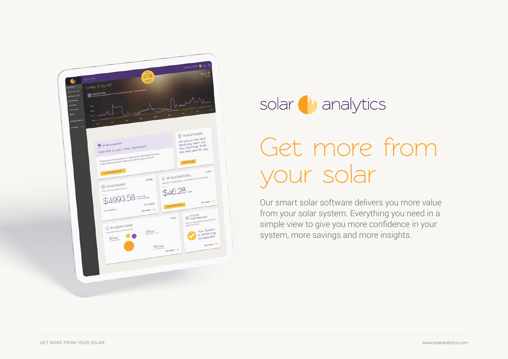



# Get more from your solar

Our smart solar software delivers you more value from your solar system. Everything you need in a simple view to give you more confidence in your system, more savings and more insights.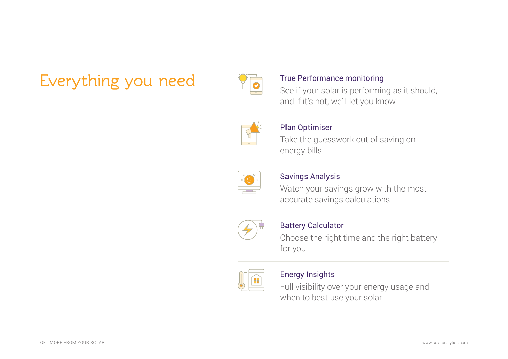## Everything you need True Performance monitoring



See if your solar is performing as it should, and if it's not, we'll let you know.



#### Plan Optimiser

Take the guesswork out of saving on energy bills.



### Savings Analysis

Watch your savings grow with the most accurate savings calculations.



### Battery Calculator

Choose the right time and the right battery for you.



### Energy Insights

Full visibility over your energy usage and when to best use your solar.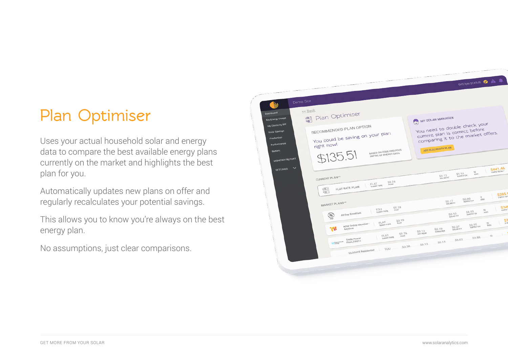### **Plan Optimiser**

Uses your actual household solar and energy data to compare the best available energy plans currently on the market and highlights the best plan for you.

Automatically updates new plans on offer and regularly recalculates your potential savings.

This allows you to know you're always on the best energy plan.

No assumptions, just clear comparisons.

| Demo Site<br>MМ<br><< Back                                                                                         |                                                                                                                                                                    | SYSTEM STATUS <b>O A</b>                                                                                                                          |
|--------------------------------------------------------------------------------------------------------------------|--------------------------------------------------------------------------------------------------------------------------------------------------------------------|---------------------------------------------------------------------------------------------------------------------------------------------------|
| Dashboard<br>My Energy Usage<br>My Electroity Bill<br>Solar Savings<br>Production<br>Performance<br><b>Battery</b> | 圖 Plan Optimiser<br>RECOMMENDED PLAN OPTION<br>You could be saving on your plan<br>right now!<br>BASED ON YOUR PREVIOUS<br>\$135.51<br><b>3MTHS OF ENERGY DATA</b> | MY SOLAR MANAGER<br>You need to double check your<br>current plan is correct before<br>comparing it to the market offers.<br>ADD ELECTRICITY PLAN |
| MONTHLY REPORT<br>$\checkmark$<br><b>SETTINGS</b>                                                                  | CURRENT PLAN**<br>\$0.24<br>FLAT<br>TARIFF TYPE<br>FLAT RATE PLAN<br>小里小<br>一副。                                                                                    | S441.46<br>$\frac{N}{\text{prsc}}$<br>$$1.51$<br>supply CH<br>\$0.13<br>\$305.<br><b>TOT HTM C</b><br>Y.<br>SO.80<br><b>DASC</b>                  |
|                                                                                                                    | MARKET PLANS**<br>\$0.28<br>UOT<br>FLAT<br>TARIFF TYPE<br>All Day Breakfast<br>$(\delta \delta)$                                                                   | <b>SO.17</b><br>SOLAR FIT<br>\$34<br><b>ATM</b> <sub>E</sub><br>$\frac{N}{D/2C}$<br>$$0.53$<br>supply CH<br>\$0.10                                |
|                                                                                                                    | \$0.19<br>FLAT<br>NSW Online Member -<br>TARIFF TYPE<br>゚゚<br>Anytime<br>\$0.26                                                                                    | \$3<br>$\cal{M}$<br>$$0.95$<br>supply ch<br>pisc<br>SO.O7<br>\$0.19<br>$$0.13$ off peak<br><b>SMOULDER</b>                                        |
|                                                                                                                    | FLAT<br>PEAK<br>TARIFF TYPE<br>Smile Power<br>Flexi_EA011<br>M momentum<br>TOU<br><b>GLOSAVE Residential</b>                                                       | A me<br>M<br>\$0.88<br>\$0.03<br>\$0.13<br>\$0.13<br>SQ.38                                                                                        |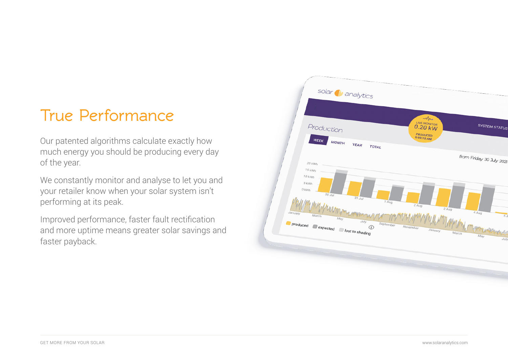### **True Performance**

Our patented algorithms calculate exactly how much energy you should be producing every day of the year.

We constantly monitor and analyse to let you and your retailer know when your solar system isn't performing at its peak.

Improved performance, faster fault rectification and more uptime means greater solar savings and faster payback.

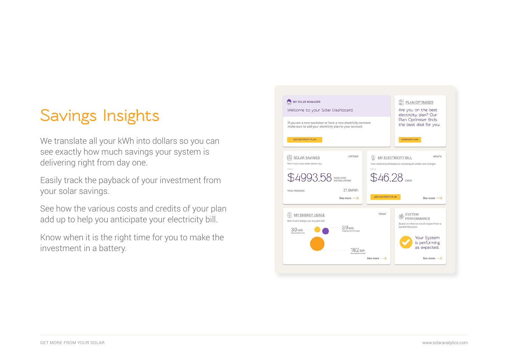### **Savings Insights**

We translate all your kWh into dollars so you can see exactly how much savings your system is delivering right from day one.

Easily track the payback of your investment from your solar savings.

See how the various costs and credits of your plan add up to help you anticipate your electricity bill.

Know when it is the right time for you to make the investment in a battery.

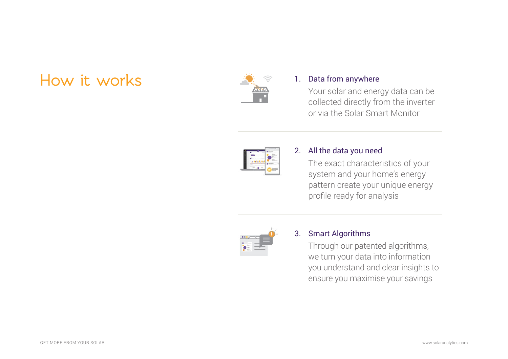### **How it works**



### 1. Data from anywhere

Your solar and energy data can be collected directly from the inverter or via the Solar Smart Monitor



#### All the data you need 2.

The exact characteristics of your system and your home's energy pattern create your unique energy profile ready for analysis



#### Smart Algorithms 3.

Through our patented algorithms, we turn your data into information you understand and clear insights to ensure you maximise your savings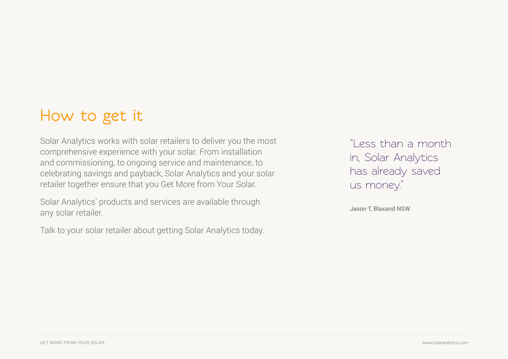### **How to get it**

Solar Analytics works with solar retailers to deliver you the most comprehensive experience with your solar. From installation and commissioning, to ongoing service and maintenance, to celebrating savings and payback, Solar Analytics and your solar retailer together ensure that you Get More from Your Solar.

Solar Analytics' products and services are available through any solar retailer.

Talk to your solar retailer about getting Solar Analytics today.

"Less than a month in, Solar Analytics has already saved us money."

Jason T, Blaxand NSW